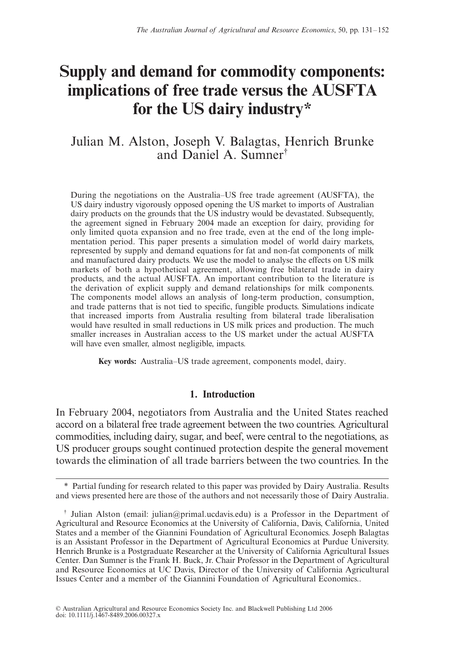# Supply and demand for commodity components: **implications of free trade versus the AUSFTA for the US dairy industry\***

## Julian M. Alston, Joseph V. Balagtas, Henrich Brunke and Daniel A. Sumner†

During the negotiations on the Australia–US free trade agreement (AUSFTA), the US dairy industry vigorously opposed opening the US market to imports of Australian dairy products on the grounds that the US industry would be devastated. Subsequently, the agreement signed in February 2004 made an exception for dairy, providing for only limited quota expansion and no free trade, even at the end of the long implementation period. This paper presents a simulation model of world dairy markets, represented by supply and demand equations for fat and non-fat components of milk and manufactured dairy products. We use the model to analyse the effects on US milk markets of both a hypothetical agreement, allowing free bilateral trade in dairy products, and the actual AUSFTA. An important contribution to the literature is the derivation of explicit supply and demand relationships for milk components. The components model allows an analysis of long-term production, consumption, and trade patterns that is not tied to specific, fungible products. Simulations indicate that increased imports from Australia resulting from bilateral trade liberalisation would have resulted in small reductions in US milk prices and production. The much smaller increases in Australian access to the US market under the actual AUSFTA will have even smaller, almost negligible, impacts.

**Key words:** Australia–US trade agreement, components model, dairy.

### **1. Introduction**

In February 2004, negotiators from Australia and the United States reached accord on a bilateral free trade agreement between the two countries. Agricultural commodities, including dairy, sugar, and beef, were central to the negotiations, as US producer groups sought continued protection despite the general movement towards the elimination of all trade barriers between the two countries. In the

\* Partial funding for research related to this paper was provided by Dairy Australia. Results and views presented here are those of the authors and not necessarily those of Dairy Australia.

<sup>&</sup>lt;sup>†</sup> Julian Alston (email: julian@primal.ucdavis.edu) is a Professor in the Department of Agricultural and Resource Economics at the University of California, Davis, California, United States and a member of the Giannini Foundation of Agricultural Economics. Joseph Balagtas is an Assistant Professor in the Department of Agricultural Economics at Purdue University. Henrich Brunke is a Postgraduate Researcher at the University of California Agricultural Issues Center. Dan Sumner is the Frank H. Buck, Jr. Chair Professor in the Department of Agricultural and Resource Economics at UC Davis, Director of the University of California Agricultural Issues Center and a member of the Giannini Foundation of Agricultural Economics..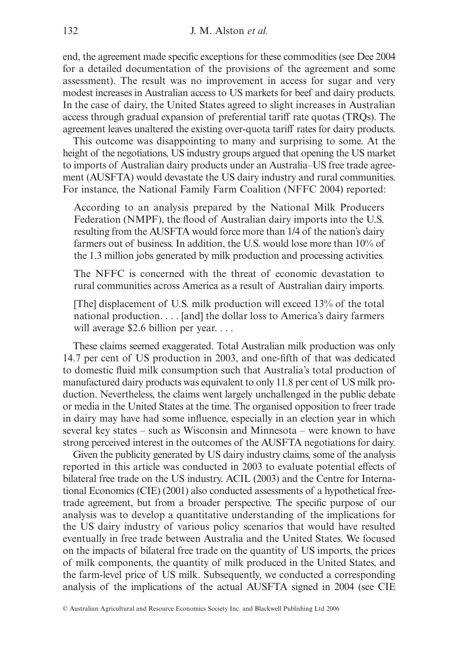end, the agreement made specific exceptions for these commodities (see Dee 2004 for a detailed documentation of the provisions of the agreement and some assessment). The result was no improvement in access for sugar and very modest increases in Australian access to US markets for beef and dairy products. In the case of dairy, the United States agreed to slight increases in Australian access through gradual expansion of preferential tariff rate quotas (TRQs). The agreement leaves unaltered the existing over-quota tariff rates for dairy products.

This outcome was disappointing to many and surprising to some. At the height of the negotiations, US industry groups argued that opening the US market to imports of Australian dairy products under an Australia–US free trade agreement (AUSFTA) would devastate the US dairy industry and rural communities. For instance, the National Family Farm Coalition (NFFC 2004) reported:

According to an analysis prepared by the National Milk Producers Federation (NMPF), the flood of Australian dairy imports into the U.S. resulting from the AUSFTA would force more than 1/4 of the nation's dairy farmers out of business. In addition, the U.S. would lose more than 10% of the 1.3 million jobs generated by milk production and processing activities.

The NFFC is concerned with the threat of economic devastation to rural communities across America as a result of Australian dairy imports.

[The] displacement of U.S. milk production will exceed 13% of the total national production. . . . [and] the dollar loss to America's dairy farmers will average  $$2.6$  billion per year...

These claims seemed exaggerated. Total Australian milk production was only 14.7 per cent of US production in 2003, and one-fifth of that was dedicated to domestic fluid milk consumption such that Australia's total production of manufactured dairy products was equivalent to only 11.8 per cent of US milk production. Nevertheless, the claims went largely unchallenged in the public debate or media in the United States at the time. The organised opposition to freer trade in dairy may have had some influence, especially in an election year in which several key states – such as Wisconsin and Minnesota – were known to have strong perceived interest in the outcomes of the AUSFTA negotiations for dairy.

Given the publicity generated by US dairy industry claims, some of the analysis reported in this article was conducted in 2003 to evaluate potential effects of bilateral free trade on the US industry. ACIL (2003) and the Centre for International Economics (CIE) (2001) also conducted assessments of a hypothetical freetrade agreement, but from a broader perspective. The specific purpose of our analysis was to develop a quantitative understanding of the implications for the US dairy industry of various policy scenarios that would have resulted eventually in free trade between Australia and the United States. We focused on the impacts of bilateral free trade on the quantity of US imports, the prices of milk components, the quantity of milk produced in the United States, and the farm-level price of US milk. Subsequently, we conducted a corresponding analysis of the implications of the actual AUSFTA signed in 2004 (see CIE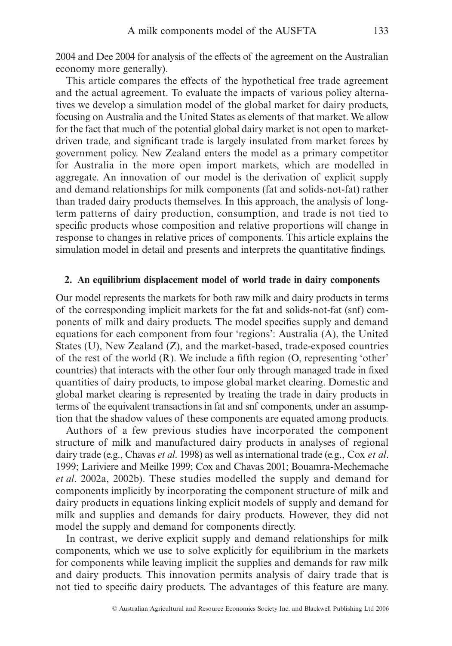2004 and Dee 2004 for analysis of the effects of the agreement on the Australian economy more generally).

This article compares the effects of the hypothetical free trade agreement and the actual agreement. To evaluate the impacts of various policy alternatives we develop a simulation model of the global market for dairy products, focusing on Australia and the United States as elements of that market. We allow for the fact that much of the potential global dairy market is not open to marketdriven trade, and significant trade is largely insulated from market forces by government policy. New Zealand enters the model as a primary competitor for Australia in the more open import markets, which are modelled in aggregate. An innovation of our model is the derivation of explicit supply and demand relationships for milk components (fat and solids-not-fat) rather than traded dairy products themselves. In this approach, the analysis of longterm patterns of dairy production, consumption, and trade is not tied to specific products whose composition and relative proportions will change in response to changes in relative prices of components. This article explains the simulation model in detail and presents and interprets the quantitative findings.

#### **2. An equilibrium displacement model of world trade in dairy components**

Our model represents the markets for both raw milk and dairy products in terms of the corresponding implicit markets for the fat and solids-not-fat (snf) components of milk and dairy products. The model specifies supply and demand equations for each component from four 'regions': Australia (A), the United States (U), New Zealand (Z), and the market-based, trade-exposed countries of the rest of the world (R). We include a fifth region (O, representing 'other' countries) that interacts with the other four only through managed trade in fixed quantities of dairy products, to impose global market clearing. Domestic and global market clearing is represented by treating the trade in dairy products in terms of the equivalent transactions in fat and snf components, under an assumption that the shadow values of these components are equated among products.

Authors of a few previous studies have incorporated the component structure of milk and manufactured dairy products in analyses of regional dairy trade (e.g., Chavas *et al*. 1998) as well as international trade (e.g., Cox *et al*. 1999; Lariviere and Meilke 1999; Cox and Chavas 2001; Bouamra-Mechemache *et al*. 2002a, 2002b). These studies modelled the supply and demand for components implicitly by incorporating the component structure of milk and dairy products in equations linking explicit models of supply and demand for milk and supplies and demands for dairy products. However, they did not model the supply and demand for components directly.

In contrast, we derive explicit supply and demand relationships for milk components, which we use to solve explicitly for equilibrium in the markets for components while leaving implicit the supplies and demands for raw milk and dairy products. This innovation permits analysis of dairy trade that is not tied to specific dairy products. The advantages of this feature are many.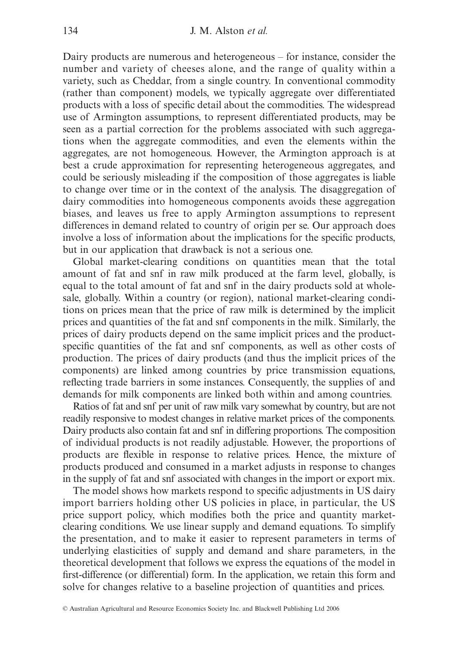Dairy products are numerous and heterogeneous – for instance, consider the number and variety of cheeses alone, and the range of quality within a variety, such as Cheddar, from a single country. In conventional commodity (rather than component) models, we typically aggregate over differentiated products with a loss of specific detail about the commodities. The widespread use of Armington assumptions, to represent differentiated products, may be seen as a partial correction for the problems associated with such aggregations when the aggregate commodities, and even the elements within the aggregates, are not homogeneous. However, the Armington approach is at best a crude approximation for representing heterogeneous aggregates, and could be seriously misleading if the composition of those aggregates is liable to change over time or in the context of the analysis. The disaggregation of dairy commodities into homogeneous components avoids these aggregation biases, and leaves us free to apply Armington assumptions to represent differences in demand related to country of origin per se. Our approach does involve a loss of information about the implications for the specific products, but in our application that drawback is not a serious one.

Global market-clearing conditions on quantities mean that the total amount of fat and snf in raw milk produced at the farm level, globally, is equal to the total amount of fat and snf in the dairy products sold at wholesale, globally. Within a country (or region), national market-clearing conditions on prices mean that the price of raw milk is determined by the implicit prices and quantities of the fat and snf components in the milk. Similarly, the prices of dairy products depend on the same implicit prices and the productspecific quantities of the fat and snf components, as well as other costs of production. The prices of dairy products (and thus the implicit prices of the components) are linked among countries by price transmission equations, reflecting trade barriers in some instances. Consequently, the supplies of and demands for milk components are linked both within and among countries.

Ratios of fat and snf per unit of raw milk vary somewhat by country, but are not readily responsive to modest changes in relative market prices of the components. Dairy products also contain fat and snf in differing proportions. The composition of individual products is not readily adjustable. However, the proportions of products are flexible in response to relative prices. Hence, the mixture of products produced and consumed in a market adjusts in response to changes in the supply of fat and snf associated with changes in the import or export mix.

The model shows how markets respond to specific adjustments in US dairy import barriers holding other US policies in place, in particular, the US price support policy, which modifies both the price and quantity marketclearing conditions. We use linear supply and demand equations. To simplify the presentation, and to make it easier to represent parameters in terms of underlying elasticities of supply and demand and share parameters, in the theoretical development that follows we express the equations of the model in first-difference (or differential) form. In the application, we retain this form and solve for changes relative to a baseline projection of quantities and prices.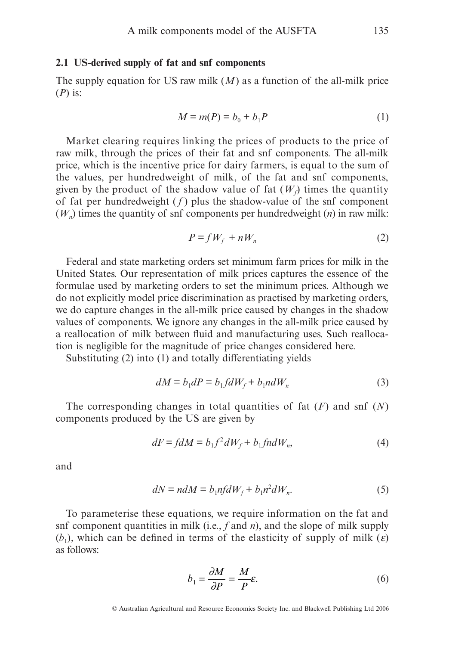#### **2.1 US-derived supply of fat and snf components**

The supply equation for US raw milk (*M*) as a function of the all-milk price (*P*) is:

$$
M = m(P) = b_0 + b_1 P
$$
 (1)

Market clearing requires linking the prices of products to the price of raw milk, through the prices of their fat and snf components. The all-milk price, which is the incentive price for dairy farmers, is equal to the sum of the values, per hundredweight of milk, of the fat and snf components, given by the product of the shadow value of fat  $(W_f)$  times the quantity of fat per hundredweight  $(f)$  plus the shadow-value of the snf component  $(W_n)$  times the quantity of snf components per hundredweight  $(n)$  in raw milk:

$$
P = fW_f + nW_n \tag{2}
$$

Federal and state marketing orders set minimum farm prices for milk in the United States. Our representation of milk prices captures the essence of the formulae used by marketing orders to set the minimum prices. Although we do not explicitly model price discrimination as practised by marketing orders, we do capture changes in the all-milk price caused by changes in the shadow values of components. We ignore any changes in the all-milk price caused by a reallocation of milk between fluid and manufacturing uses. Such reallocation is negligible for the magnitude of price changes considered here.

Substituting (2) into (1) and totally differentiating yields

$$
dM = b_1 dP = b_1 f dW_f + b_1 ndW_n \tag{3}
$$

The corresponding changes in total quantities of fat (*F*) and snf (*N*) components produced by the US are given by

$$
dF = fdM = b_1 f^2 dW_f + b_1 f n dW_n, \tag{4}
$$

and

$$
dN = ndM = b_1 n f dW_f + b_1 n^2 dW_n.
$$
 (5)

To parameterise these equations, we require information on the fat and snf component quantities in milk (i.e., *f* and *n*), and the slope of milk supply  $(b_1)$ , which can be defined in terms of the elasticity of supply of milk  $(\varepsilon)$ as follows:

$$
b_1 = \frac{\partial M}{\partial P} = \frac{M}{P} \varepsilon. \tag{6}
$$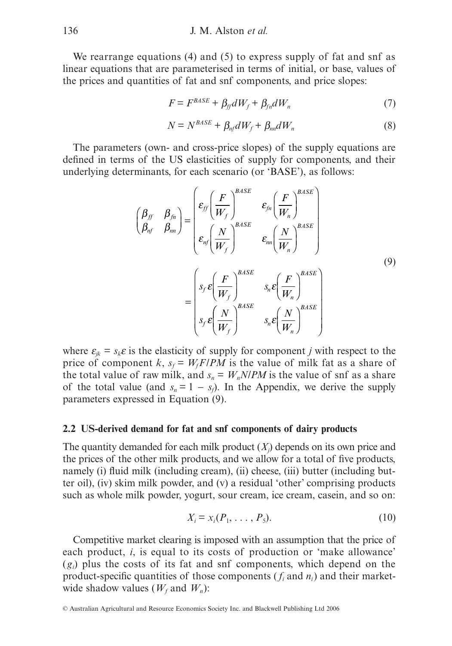We rearrange equations (4) and (5) to express supply of fat and snf as linear equations that are parameterised in terms of initial, or base, values of the prices and quantities of fat and snf components, and price slopes:

$$
F = F^{BASE} + \beta_{ff} dW_f + \beta_{fn} dW_n \tag{7}
$$

$$
N = N^{BASE} + \beta_{n\ell} dW_f + \beta_{nn} dW_n \tag{8}
$$

The parameters (own- and cross-price slopes) of the supply equations are defined in terms of the US elasticities of supply for components, and their underlying determinants, for each scenario (or 'BASE'), as follows:

$$
\begin{pmatrix}\n\beta_{ff} & \beta_{fn} \\
\beta_{mf} & \beta_{nn}\n\end{pmatrix} = \begin{pmatrix}\n\varepsilon_{ff} \left(\frac{F}{W_f}\right)^{BASE} & \varepsilon_{fn} \left(\frac{F}{W_n}\right)^{BASE} \\
\varepsilon_{nf} \left(\frac{N}{W_f}\right)^{BASE} & \varepsilon_{nn} \left(\frac{N}{W_n}\right)^{BASE}\n\end{pmatrix}
$$
\n
$$
= \begin{pmatrix}\ns_f \varepsilon \left(\frac{F}{W_f}\right)^{BASE} & s_n \varepsilon \left(\frac{F}{W_n}\right)^{BASE} \\
s_f \varepsilon \left(\frac{N}{W_f}\right)^{BASE} & s_n \varepsilon \left(\frac{N}{W_n}\right)^{BASE}\n\end{pmatrix}
$$
\n(9)

where  $\varepsilon_{ik} = s_k \varepsilon$  is the elasticity of supply for component *j* with respect to the price of component *k*,  $s_f = W_f F / PM$  is the value of milk fat as a share of the total value of raw milk, and  $s_n = W_n N/PM$  is the value of snf as a share of the total value (and  $s_n = 1 - s_f$ ). In the Appendix, we derive the supply parameters expressed in Equation (9).

#### **2.2 US-derived demand for fat and snf components of dairy products**

The quantity demanded for each milk product  $(X_j)$  depends on its own price and the prices of the other milk products, and we allow for a total of five products, namely (i) fluid milk (including cream), (ii) cheese, (iii) butter (including butter oil), (iv) skim milk powder, and (v) a residual 'other' comprising products such as whole milk powder, yogurt, sour cream, ice cream, casein, and so on:

$$
X_i = x_i(P_1, \ldots, P_5). \tag{10}
$$

Competitive market clearing is imposed with an assumption that the price of each product, *i*, is equal to its costs of production or 'make allowance' (*gi* ) plus the costs of its fat and snf components, which depend on the product-specific quantities of those components  $(f_i \text{ and } n_i)$  and their marketwide shadow values ( $W_f$  and  $W_n$ ):

<sup>©</sup> Australian Agricultural and Resource Economics Society Inc. and Blackwell Publishing Ltd 2006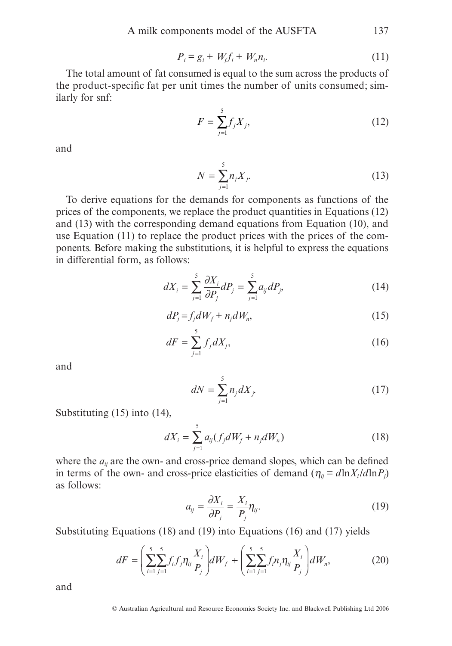$$
P_i = g_i + W_f f_i + W_n n_i. \tag{11}
$$

The total amount of fat consumed is equal to the sum across the products of the product-specific fat per unit times the number of units consumed; similarly for snf:

$$
F = \sum_{j=1}^{5} f_j X_j,
$$
 (12)

and

$$
N = \sum_{j=1}^{5} n_j X_j.
$$
 (13)

To derive equations for the demands for components as functions of the prices of the components, we replace the product quantities in Equations (12) and (13) with the corresponding demand equations from Equation (10), and use Equation (11) to replace the product prices with the prices of the components. Before making the substitutions, it is helpful to express the equations in differential form, as follows:

$$
dX_i = \sum_{j=1}^5 \frac{\partial X_i}{\partial P_j} dP_j = \sum_{j=1}^5 a_{ij} dP_j, \qquad (14)
$$

$$
dP_j = f_j dW_f + n_j dW_n, \tag{15}
$$

$$
dF = \sum_{j=1}^{5} f_j dX_j,
$$
 (16)

and

$$
dN = \sum_{j=1}^{5} n_j dX_j.
$$
 (17)

Substituting (15) into (14),

$$
dX_i = \sum_{j=1}^{5} a_{ij} (f_j dW_j + n_j dW_n)
$$
 (18)

where the  $a_{ij}$  are the own- and cross-price demand slopes, which can be defined in terms of the own- and cross-price elasticities of demand  $(\eta_{ij} = d \ln X_i / d \ln P_j)$ as follows:

$$
a_{ij} = \frac{\partial X_i}{\partial P_j} = \frac{X_i}{P_j} \eta_{ij}.
$$
\n(19)

Substituting Equations (18) and (19) into Equations (16) and (17) yields

$$
dF = \left(\sum_{i=1}^{5} \sum_{j=1}^{5} f_i f_j \eta_{ij} \frac{X_i}{P_j}\right) dW_f + \left(\sum_{i=1}^{5} \sum_{j=1}^{5} f_i n_j \eta_{ij} \frac{X_i}{P_j}\right) dW_n, \tag{20}
$$

and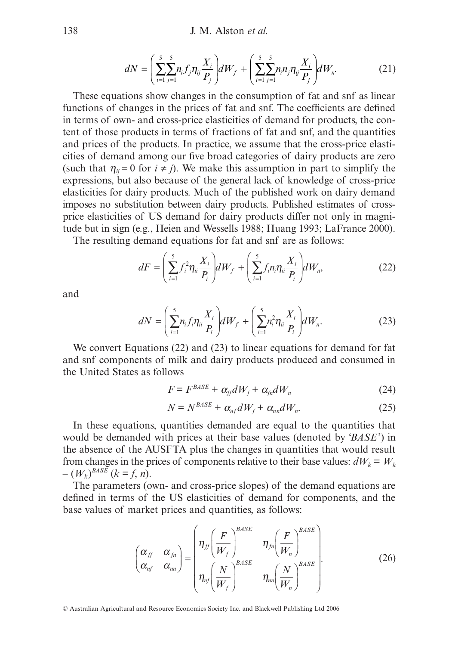$$
dN = \left(\sum_{i=1}^{5} \sum_{j=1}^{5} n_i f_j \eta_{ij} \frac{X_i}{P_j}\right) dW_f + \left(\sum_{i=1}^{5} \sum_{j=1}^{5} n_i n_j \eta_{ij} \frac{X_i}{P_j}\right) dW_n.
$$
 (21)

These equations show changes in the consumption of fat and snf as linear functions of changes in the prices of fat and snf. The coefficients are defined in terms of own- and cross-price elasticities of demand for products, the content of those products in terms of fractions of fat and snf, and the quantities and prices of the products. In practice, we assume that the cross-price elasticities of demand among our five broad categories of dairy products are zero (such that  $\eta_{ii} = 0$  for  $i \neq j$ ). We make this assumption in part to simplify the expressions, but also because of the general lack of knowledge of cross-price elasticities for dairy products. Much of the published work on dairy demand imposes no substitution between dairy products. Published estimates of crossprice elasticities of US demand for dairy products differ not only in magnitude but in sign (e.g., Heien and Wessells 1988; Huang 1993; LaFrance 2000).

The resulting demand equations for fat and snf are as follows:

$$
dF = \left(\sum_{i=1}^{5} f_i^2 \eta_{ii} \frac{X_i}{P_i}\right) dW_f + \left(\sum_{i=1}^{5} f_i \eta_i \eta_{ii} \frac{X_i}{P_i}\right) dW_n, \tag{22}
$$

and

$$
dN = \left(\sum_{i=1}^{5} n_i f_i \eta_{ii} \frac{X_i}{P_i}\right) dW_f + \left(\sum_{i=1}^{5} n_i^2 \eta_{ii} \frac{X_i}{P_i}\right) dW_n.
$$
 (23)

We convert Equations (22) and (23) to linear equations for demand for fat and snf components of milk and dairy products produced and consumed in the United States as follows

$$
F = F^{BASE} + \alpha_{ff} dW_f + \alpha_{fn} dW_n \tag{24}
$$

$$
N = N^{BASE} + \alpha_{nf} dW_f + \alpha_{nn} dW_n. \tag{25}
$$

In these equations, quantities demanded are equal to the quantities that would be demanded with prices at their base values (denoted by '*BASE*') in the absence of the AUSFTA plus the changes in quantities that would result from changes in the prices of components relative to their base values:  $dW_k = W_k$  $-(W_k)^{BASE}$  ( $k = f, n$ ).

The parameters (own- and cross-price slopes) of the demand equations are defined in terms of the US elasticities of demand for components, and the base values of market prices and quantities, as follows:

$$
\begin{pmatrix}\n\alpha_{ff} & \alpha_{fn} \\
\alpha_{nf} & \alpha_{nn}\n\end{pmatrix} = \begin{pmatrix}\n\eta_{ff} \left(\frac{F}{W_f}\right)^{BASE} & \eta_{fn} \left(\frac{F}{W_n}\right)^{BASE} \\
\eta_{nf} \left(\frac{N}{W_f}\right)^{BASE} & \eta_{nn} \left(\frac{N}{W_n}\right)^{BASE}\n\end{pmatrix}.
$$
\n(26)

© Australian Agricultural and Resource Economics Society Inc. and Blackwell Publishing Ltd 2006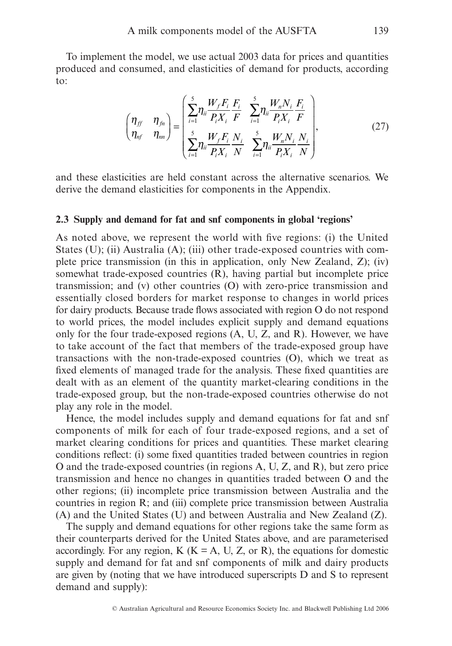To implement the model, we use actual 2003 data for prices and quantities produced and consumed, and elasticities of demand for products, according  $\mathsf{to}$ :

$$
\begin{pmatrix} \eta_{ff} & \eta_{fn} \\ \eta_{nf} & \eta_{nn} \end{pmatrix} = \begin{pmatrix} \sum_{i=1}^{5} \eta_{ii} \frac{W_f F_i}{P_i X_i} \frac{F_i}{F} & \sum_{i=1}^{5} \eta_{ii} \frac{W_n N_i}{P_i X_i} \frac{F_i}{F} \\ \sum_{i=1}^{5} \eta_{ii} \frac{W_f F_i}{P_i X_i} \frac{N_i}{N} & \sum_{i=1}^{5} \eta_{ii} \frac{W_n N_i}{P_i X_i} \frac{N_i}{N} \end{pmatrix},
$$
\n(27)

and these elasticities are held constant across the alternative scenarios. We derive the demand elasticities for components in the Appendix.

#### **2.3 Supply and demand for fat and snf components in global 'regions'**

As noted above, we represent the world with five regions: (i) the United States  $(U)$ ; (ii) Australia  $(A)$ ; (iii) other trade-exposed countries with complete price transmission (in this in application, only New Zealand, Z); (iv) somewhat trade-exposed countries (R), having partial but incomplete price transmission; and (v) other countries (O) with zero-price transmission and essentially closed borders for market response to changes in world prices for dairy products. Because trade flows associated with region O do not respond to world prices, the model includes explicit supply and demand equations only for the four trade-exposed regions (A, U, Z, and R). However, we have to take account of the fact that members of the trade-exposed group have transactions with the non-trade-exposed countries (O), which we treat as fixed elements of managed trade for the analysis. These fixed quantities are dealt with as an element of the quantity market-clearing conditions in the trade-exposed group, but the non-trade-exposed countries otherwise do not play any role in the model.

Hence, the model includes supply and demand equations for fat and snf components of milk for each of four trade-exposed regions, and a set of market clearing conditions for prices and quantities. These market clearing conditions reflect: (i) some fixed quantities traded between countries in region O and the trade-exposed countries (in regions A, U, Z, and R), but zero price transmission and hence no changes in quantities traded between O and the other regions; (ii) incomplete price transmission between Australia and the countries in region R; and (iii) complete price transmission between Australia (A) and the United States (U) and between Australia and New Zealand (Z).

The supply and demand equations for other regions take the same form as their counterparts derived for the United States above, and are parameterised accordingly. For any region, K ( $K = A$ , U, Z, or R), the equations for domestic supply and demand for fat and snf components of milk and dairy products are given by (noting that we have introduced superscripts D and S to represent demand and supply):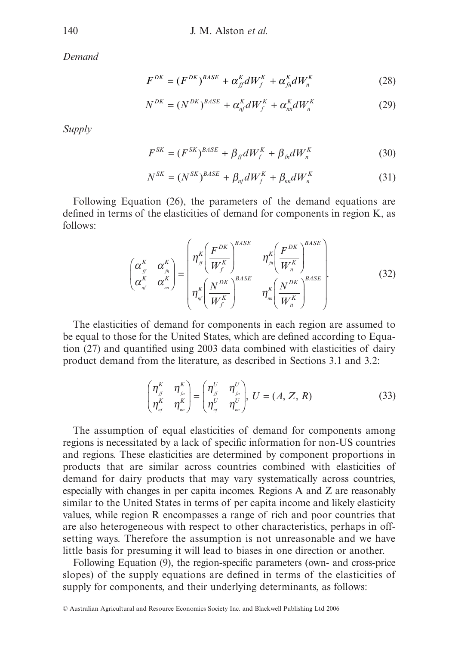*Demand*

$$
F^{DK} = (F^{DK})^{BASE} + \alpha_M^K dW_f^K + \alpha_{fn}^K dW_n^K \qquad (28)
$$

$$
N^{DK} = (N^{DK})^{BASE} + \alpha_{nf}^K dW_f^K + \alpha_{nn}^K dW_n^K \tag{29}
$$

*Supply*

$$
F^{SK} = (F^{SK})^{BASE} + \beta_{ff} dW_f^K + \beta_{fn} dW_n^K \tag{30}
$$

$$
N^{SK} = (N^{SK})^{BASE} + \beta_{nj} dW_f^K + \beta_{nn} dW_n^K \qquad (31)
$$

Following Equation (26), the parameters of the demand equations are defined in terms of the elasticities of demand for components in region K, as follows:

$$
\begin{pmatrix}\n\alpha_{\scriptscriptstyle{S}}^K & \alpha_{\scriptscriptstyle{m}}^K \\
\alpha_{\scriptscriptstyle{M}'}^K & \alpha_{\scriptscriptstyle{m}}^K\n\end{pmatrix} = \begin{pmatrix}\n\eta_{\scriptscriptstyle{S}}^K \left( \frac{F^{\scriptscriptstyle{DK}}}{W^{\scriptscriptstyle{F}}_f} \right)^{\scriptscriptstyle{BASE}} & \eta_{\scriptscriptstyle{m}}^K \left( \frac{F^{\scriptscriptstyle{DK}}}{W^{\scriptscriptstyle{K}}_n} \right)^{\scriptscriptstyle{BASE}} \\
\eta_{\scriptscriptstyle{M}'}^K \left( \frac{N^{\scriptscriptstyle{DK}}}{W^{\scriptscriptstyle{F}}_f} \right)^{\scriptscriptstyle{BASE}} & \eta_{\scriptscriptstyle{m}}^K \left( \frac{N^{\scriptscriptstyle{DK}}}{W^{\scriptscriptstyle{K}}_n} \right)^{\scriptscriptstyle{BASE}}\n\end{pmatrix} .
$$
\n(32)

The elasticities of demand for components in each region are assumed to be equal to those for the United States, which are defined according to Equation (27) and quantified using 2003 data combined with elasticities of dairy product demand from the literature, as described in Sections 3.1 and 3.2:

$$
\begin{pmatrix} \eta_{\scriptscriptstyle f}^K & \eta_{\scriptscriptstyle f\scriptscriptstyle n}^K \\ \eta_{\scriptscriptstyle f\scriptscriptstyle f}^K & \eta_{\scriptscriptstyle m}^K \end{pmatrix} = \begin{pmatrix} \eta_{\scriptscriptstyle f\scriptscriptstyle f}^U & \eta_{\scriptscriptstyle f\scriptscriptstyle n}^U \\ \eta_{\scriptscriptstyle f\scriptscriptstyle f}^U & \eta_{\scriptscriptstyle m}^U \end{pmatrix}, \ U = (A, Z, R) \tag{33}
$$

The assumption of equal elasticities of demand for components among regions is necessitated by a lack of specific information for non-US countries and regions. These elasticities are determined by component proportions in products that are similar across countries combined with elasticities of demand for dairy products that may vary systematically across countries, especially with changes in per capita incomes. Regions A and Z are reasonably similar to the United States in terms of per capita income and likely elasticity values, while region R encompasses a range of rich and poor countries that are also heterogeneous with respect to other characteristics, perhaps in offsetting ways. Therefore the assumption is not unreasonable and we have little basis for presuming it will lead to biases in one direction or another.

Following Equation (9), the region-specific parameters (own- and cross-price slopes) of the supply equations are defined in terms of the elasticities of supply for components, and their underlying determinants, as follows:

<sup>©</sup> Australian Agricultural and Resource Economics Society Inc. and Blackwell Publishing Ltd 2006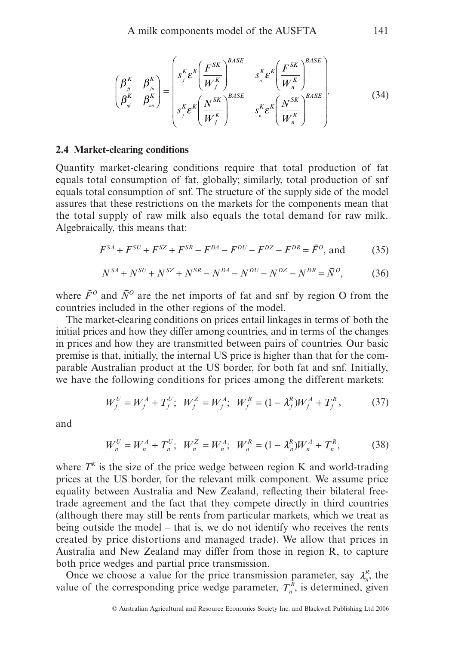$$
\begin{pmatrix}\n\beta^K_{f} & \beta^K_{f} \\
\beta^K_{f'} & \beta^K_{m}\n\end{pmatrix} = \begin{pmatrix}\ns^K_{f}\varepsilon^K \left(\frac{F^{SK}}{W_{f}^{K}}\right)^{BASE} & s^K_{n}\varepsilon^K \left(\frac{F^{SK}}{W_{n}^{K}}\right)^{BASE} \\
s^K_{f}\varepsilon^K \left(\frac{N^{SK}}{W_{f}^{K}}\right)^{BASE} & s^K_{n}\varepsilon^K \left(\frac{N^{SK}}{W_{n}^{K}}\right)^{BASE}\n\end{pmatrix}.
$$
\n(34)

#### **2.4 Market-clearing conditions**

Quantity market-clearing conditions require that total production of fat equals total consumption of fat, globally; similarly, total production of snf equals total consumption of snf. The structure of the supply side of the model assures that these restrictions on the markets for the components mean that the total supply of raw milk also equals the total demand for raw milk. Algebraically, this means that:

$$
F^{SA} + F^{SU} + F^{SZ} + F^{SR} - F^{DA} - F^{DU} - F^{DZ} - F^{DR} = \bar{F}^O, \text{ and } (35)
$$

$$
N^{SA} + N^{SU} + N^{SZ} + N^{SR} - N^{DA} - N^{DU} - N^{DZ} - N^{DR} = \bar{N}^{O},\tag{36}
$$

where  $\bar{F}^{\scriptscriptstyle O}$  and  $\bar{N}^{\scriptscriptstyle O}$  are the net imports of fat and snf by region O from the countries included in the other regions of the model.

The market-clearing conditions on prices entail linkages in terms of both the initial prices and how they differ among countries, and in terms of the changes in prices and how they are transmitted between pairs of countries. Our basic premise is that, initially, the internal US price is higher than that for the comparable Australian product at the US border, for both fat and snf. Initially, we have the following conditions for prices among the different markets:

$$
W_f^U = W_f^A + T_f^U; \ \ W_f^Z = W_f^A; \ \ W_f^R = (1 - \lambda_f^R)W_f^A + T_f^R, \tag{37}
$$

and

$$
W_n^U = W_n^A + T_n^U; \quad W_n^Z = W_n^A; \quad W_n^R = (1 - \lambda_n^R)W_n^A + T_n^R,\tag{38}
$$

where  $T<sup>K</sup>$  is the size of the price wedge between region K and world-trading prices at the US border, for the relevant milk component. We assume price equality between Australia and New Zealand, reflecting their bilateral freetrade agreement and the fact that they compete directly in third countries (although there may still be rents from particular markets, which we treat as being outside the model – that is, we do not identify who receives the rents created by price distortions and managed trade). We allow that prices in Australia and New Zealand may differ from those in region R, to capture both price wedges and partial price transmission.

Once we choose a value for the price transmission parameter, say  $\lambda_n^R$ , the value of the corresponding price wedge parameter,  $T_n^R$ , is determined, given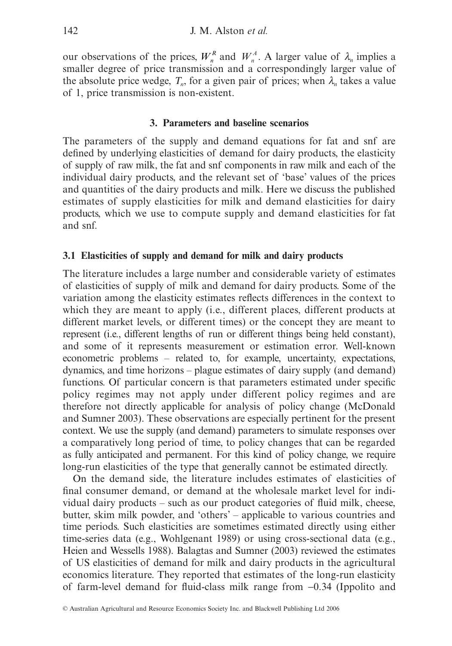our observations of the prices,  $W_n^R$  and  $W_n^A$ . A larger value of  $\lambda_n$  implies a smaller degree of price transmission and a correspondingly larger value of the absolute price wedge,  $T_n$ , for a given pair of prices; when  $\lambda_n$  takes a value of 1, price transmission is non-existent.

## **3. Parameters and baseline scenarios**

The parameters of the supply and demand equations for fat and snf are defined by underlying elasticities of demand for dairy products, the elasticity of supply of raw milk, the fat and snf components in raw milk and each of the individual dairy products, and the relevant set of 'base' values of the prices and quantities of the dairy products and milk. Here we discuss the published estimates of supply elasticities for milk and demand elasticities for dairy products, which we use to compute supply and demand elasticities for fat and snf.

## **3.1 Elasticities of supply and demand for milk and dairy products**

The literature includes a large number and considerable variety of estimates of elasticities of supply of milk and demand for dairy products. Some of the variation among the elasticity estimates reflects differences in the context to which they are meant to apply (i.e., different places, different products at different market levels, or different times) or the concept they are meant to represent (i.e., different lengths of run or different things being held constant), and some of it represents measurement or estimation error. Well-known econometric problems – related to, for example, uncertainty, expectations, dynamics, and time horizons – plague estimates of dairy supply (and demand) functions. Of particular concern is that parameters estimated under specific policy regimes may not apply under different policy regimes and are therefore not directly applicable for analysis of policy change (McDonald and Sumner 2003). These observations are especially pertinent for the present context. We use the supply (and demand) parameters to simulate responses over a comparatively long period of time, to policy changes that can be regarded as fully anticipated and permanent. For this kind of policy change, we require long-run elasticities of the type that generally cannot be estimated directly.

On the demand side, the literature includes estimates of elasticities of final consumer demand, or demand at the wholesale market level for individual dairy products – such as our product categories of fluid milk, cheese, butter, skim milk powder, and 'others' – applicable to various countries and time periods. Such elasticities are sometimes estimated directly using either time-series data (e.g., Wohlgenant 1989) or using cross-sectional data (e.g., Heien and Wessells 1988). Balagtas and Sumner (2003) reviewed the estimates of US elasticities of demand for milk and dairy products in the agricultural economics literature. They reported that estimates of the long-run elasticity of farm-level demand for fluid-class milk range from −0.34 (Ippolito and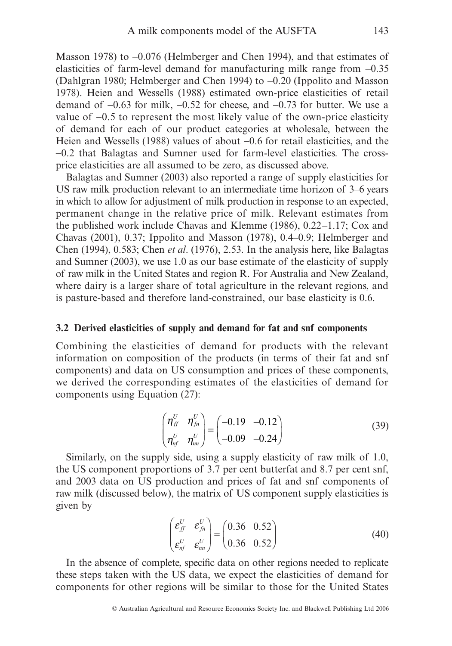Masson 1978) to −0.076 (Helmberger and Chen 1994), and that estimates of elasticities of farm-level demand for manufacturing milk range from −0.35 (Dahlgran 1980; Helmberger and Chen 1994) to −0.20 (Ippolito and Masson 1978). Heien and Wessells (1988) estimated own-price elasticities of retail demand of −0.63 for milk, −0.52 for cheese, and −0.73 for butter. We use a value of −0.5 to represent the most likely value of the own-price elasticity of demand for each of our product categories at wholesale, between the Heien and Wessells (1988) values of about −0.6 for retail elasticities, and the −0.2 that Balagtas and Sumner used for farm-level elasticities. The crossprice elasticities are all assumed to be zero, as discussed above.

Balagtas and Sumner (2003) also reported a range of supply elasticities for US raw milk production relevant to an intermediate time horizon of 3–6 years in which to allow for adjustment of milk production in response to an expected, permanent change in the relative price of milk. Relevant estimates from the published work include Chavas and Klemme (1986), 0.22–1.17; Cox and Chavas (2001), 0.37; Ippolito and Masson (1978), 0.4–0.9; Helmberger and Chen (1994), 0.583; Chen *et al*. (1976), 2.53. In the analysis here, like Balagtas and Sumner (2003), we use 1.0 as our base estimate of the elasticity of supply of raw milk in the United States and region R. For Australia and New Zealand, where dairy is a larger share of total agriculture in the relevant regions, and is pasture-based and therefore land-constrained, our base elasticity is 0.6.

## **3.2 Derived elasticities of supply and demand for fat and snf components**

Combining the elasticities of demand for products with the relevant information on composition of the products (in terms of their fat and snf components) and data on US consumption and prices of these components, we derived the corresponding estimates of the elasticities of demand for components using Equation (27):

$$
\begin{pmatrix} \eta_{ff}^U & \eta_{fn}^U \\ \eta_{nf}^U & \eta_{nn}^U \end{pmatrix} = \begin{pmatrix} -0.19 & -0.12 \\ -0.09 & -0.24 \end{pmatrix}
$$
 (39)

Similarly, on the supply side, using a supply elasticity of raw milk of 1.0, the US component proportions of 3.7 per cent butterfat and 8.7 per cent snf, and 2003 data on US production and prices of fat and snf components of raw milk (discussed below), the matrix of US component supply elasticities is given by

$$
\begin{pmatrix} \varepsilon_{ff}^U & \varepsilon_{fn}^U \\ \varepsilon_{nf}^U & \varepsilon_{nn}^U \end{pmatrix} = \begin{pmatrix} 0.36 & 0.52 \\ 0.36 & 0.52 \end{pmatrix}
$$
 (40)

In the absence of complete, specific data on other regions needed to replicate these steps taken with the US data, we expect the elasticities of demand for components for other regions will be similar to those for the United States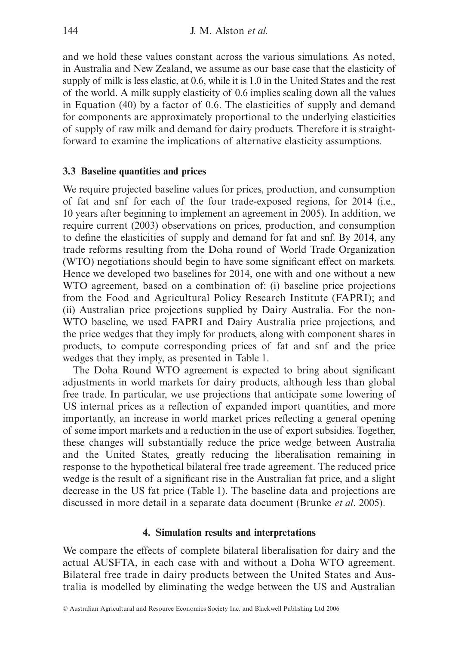and we hold these values constant across the various simulations. As noted, in Australia and New Zealand, we assume as our base case that the elasticity of supply of milk is less elastic, at 0.6, while it is 1.0 in the United States and the rest of the world. A milk supply elasticity of 0.6 implies scaling down all the values in Equation (40) by a factor of 0.6. The elasticities of supply and demand for components are approximately proportional to the underlying elasticities of supply of raw milk and demand for dairy products. Therefore it is straightforward to examine the implications of alternative elasticity assumptions.

## **3.3 Baseline quantities and prices**

We require projected baseline values for prices, production, and consumption of fat and snf for each of the four trade-exposed regions, for 2014 (i.e., 10 years after beginning to implement an agreement in 2005). In addition, we require current (2003) observations on prices, production, and consumption to define the elasticities of supply and demand for fat and snf. By 2014, any trade reforms resulting from the Doha round of World Trade Organization (WTO) negotiations should begin to have some significant effect on markets. Hence we developed two baselines for 2014, one with and one without a new WTO agreement, based on a combination of: (i) baseline price projections from the Food and Agricultural Policy Research Institute (FAPRI); and (ii) Australian price projections supplied by Dairy Australia. For the non-WTO baseline, we used FAPRI and Dairy Australia price projections, and the price wedges that they imply for products, along with component shares in products, to compute corresponding prices of fat and snf and the price wedges that they imply, as presented in Table 1.

The Doha Round WTO agreement is expected to bring about significant adjustments in world markets for dairy products, although less than global free trade. In particular, we use projections that anticipate some lowering of US internal prices as a reflection of expanded import quantities, and more importantly, an increase in world market prices reflecting a general opening of some import markets and a reduction in the use of export subsidies. Together, these changes will substantially reduce the price wedge between Australia and the United States, greatly reducing the liberalisation remaining in response to the hypothetical bilateral free trade agreement. The reduced price wedge is the result of a significant rise in the Australian fat price, and a slight decrease in the US fat price (Table 1). The baseline data and projections are discussed in more detail in a separate data document (Brunke *et al*. 2005).

## **4. Simulation results and interpretations**

We compare the effects of complete bilateral liberalisation for dairy and the actual AUSFTA, in each case with and without a Doha WTO agreement. Bilateral free trade in dairy products between the United States and Australia is modelled by eliminating the wedge between the US and Australian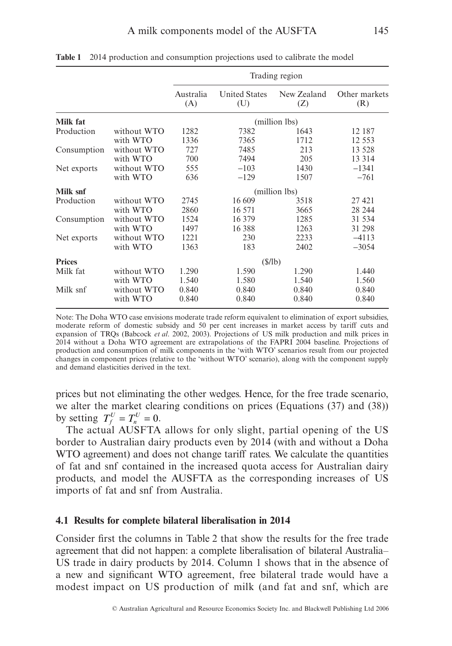|             | Trading region   |                             |                    |                      |  |  |  |
|-------------|------------------|-----------------------------|--------------------|----------------------|--|--|--|
|             | Australia<br>(A) | <b>United States</b><br>(U) | New Zealand<br>(Z) | Other markets<br>(R) |  |  |  |
|             | (million lbs)    |                             |                    |                      |  |  |  |
| without WTO | 1282             | 7382                        | 1643               | 12 187               |  |  |  |
| with WTO    | 1336             | 7365                        | 1712               | 12 5 5 3             |  |  |  |
| without WTO | 727              | 7485                        | 213                | 13 5 28              |  |  |  |
| with WTO    | 700              | 7494                        | 205                | 13 3 14              |  |  |  |
| without WTO | 555              | $-103$                      | 1430               | $-1341$              |  |  |  |
| with WTO    | 636              | $-129$                      | 1507               | $-761$               |  |  |  |
|             | (million lbs)    |                             |                    |                      |  |  |  |
| without WTO | 2745             | 16 609                      | 3518               | 27 4 21              |  |  |  |
| with WTO    | 2860             | 16 571                      | 3665               | 28 244               |  |  |  |
| without WTO | 1524             | 16 379                      | 1285               | 31 534               |  |  |  |
| with WTO    | 1497             | 16 388                      | 1263               | 31 298               |  |  |  |
| without WTO | 1221             | 230                         | 2233               | $-4113$              |  |  |  |
| with WTO    | 1363             | 183                         | 2402               | $-3054$              |  |  |  |
|             |                  |                             |                    |                      |  |  |  |
|             | 1.290            | 1.590                       | 1.290              | 1.440                |  |  |  |
| with WTO    | 1.540            | 1.580                       | 1.540              | 1.560                |  |  |  |
| without WTO | 0.840            | 0.840                       | 0.840              | 0.840                |  |  |  |
| with WTO    | 0.840            | 0.840                       | 0.840              | 0.840                |  |  |  |
|             | without WTO      |                             |                    | \$/lb)               |  |  |  |

**Table 1** 2014 production and consumption projections used to calibrate the model

Note: The Doha WTO case envisions moderate trade reform equivalent to elimination of export subsidies, moderate reform of domestic subsidy and 50 per cent increases in market access by tariff cuts and expansion of TRQs (Babcock *et al*. 2002, 2003). Projections of US milk production and milk prices in 2014 without a Doha WTO agreement are extrapolations of the FAPRI 2004 baseline. Projections of production and consumption of milk components in the 'with WTO' scenarios result from our projected changes in component prices (relative to the 'without WTO' scenario), along with the component supply and demand elasticities derived in the text.

prices but not eliminating the other wedges. Hence, for the free trade scenario, we alter the market clearing conditions on prices (Equations (37) and (38)) by setting  $T_f^U = T_n^U = 0$ .

The actual AUSFTA allows for only slight, partial opening of the US border to Australian dairy products even by 2014 (with and without a Doha WTO agreement) and does not change tariff rates. We calculate the quantities of fat and snf contained in the increased quota access for Australian dairy products, and model the AUSFTA as the corresponding increases of US imports of fat and snf from Australia.

#### **4.1 Results for complete bilateral liberalisation in 2014**

Consider first the columns in Table 2 that show the results for the free trade agreement that did not happen: a complete liberalisation of bilateral Australia– US trade in dairy products by 2014. Column 1 shows that in the absence of a new and significant WTO agreement, free bilateral trade would have a modest impact on US production of milk (and fat and snf, which are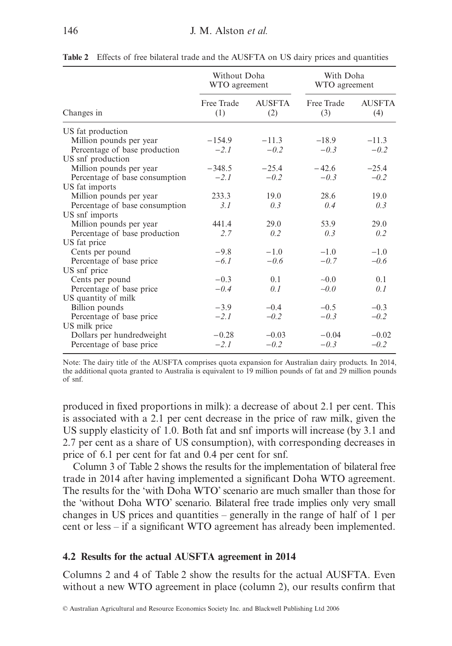|                                | Without Doha<br>WTO agreement |                      | With Doha<br>WTO agreement |                      |
|--------------------------------|-------------------------------|----------------------|----------------------------|----------------------|
| Changes in                     | Free Trade<br>(1)             | <b>AUSFTA</b><br>(2) | Free Trade<br>(3)          | <b>AUSFTA</b><br>(4) |
| US fat production              |                               |                      |                            |                      |
| Million pounds per year        | $-154.9$                      | $-11.3$              | $-18.9$                    | $-11.3$              |
| Percentage of base production  | $-2.1$                        | $-0.2$               | $-0.3$                     | $-0.2$               |
| US snf production              |                               |                      |                            |                      |
| Million pounds per year        | $-348.5$                      | $-25.4$              | $-42.6$                    | $-25.4$              |
| Percentage of base consumption | $-2.1$                        | $-0.2$               | $-0.3$                     | $-0.2$               |
| US fat imports                 |                               |                      |                            |                      |
| Million pounds per year        | 233.3                         | 19.0                 | 28.6                       | 19.0                 |
| Percentage of base consumption | 3.1                           | 0.3                  | 0.4                        | 0.3                  |
| US snf imports                 |                               |                      |                            |                      |
| Million pounds per year        | 441.4                         | 29.0                 | 53.9                       | 29.0                 |
| Percentage of base production  | 2.7                           | 0.2                  | 0.3                        | 0.2                  |
| US fat price                   |                               |                      |                            |                      |
| Cents per pound                | $-9.8$                        | $-1.0$               | $-1.0$                     | $-1.0$               |
| Percentage of base price       | $-6.1$                        | $-0.6$               | $-0.7$                     | $-0.6$               |
| US snf price                   |                               |                      |                            |                      |
| Cents per pound                | $-0.3$                        | 0.1                  | $-0.0$                     | 0.1                  |
| Percentage of base price       | $-0.4$                        | 0.1                  | $-0.0$                     | 0.1                  |
| US quantity of milk            |                               |                      |                            |                      |
| Billion pounds                 | $-3.9$                        | $-0.4$               | $-0.5$                     | $-0.3$               |
| Percentage of base price       | $-2.1$                        | $-0.2$               | $-0.3$                     | $-0.2$               |
| US milk price                  |                               |                      |                            |                      |
| Dollars per hundredweight      | $-0.28$                       | $-0.03$              | $-0.04$                    | $-0.02$              |
| Percentage of base price       | $-2.1$                        | $-0.2$               | $-0.3$                     | $-0.2$               |

**Table 2** Effects of free bilateral trade and the AUSFTA on US dairy prices and quantities

Note: The dairy title of the AUSFTA comprises quota expansion for Australian dairy products. In 2014, the additional quota granted to Australia is equivalent to 19 million pounds of fat and 29 million pounds of snf.

produced in fixed proportions in milk): a decrease of about 2.1 per cent. This is associated with a 2.1 per cent decrease in the price of raw milk, given the US supply elasticity of 1.0. Both fat and snf imports will increase (by 3.1 and 2.7 per cent as a share of US consumption), with corresponding decreases in price of 6.1 per cent for fat and 0.4 per cent for snf.

Column 3 of Table 2 shows the results for the implementation of bilateral free trade in 2014 after having implemented a significant Doha WTO agreement. The results for the 'with Doha WTO' scenario are much smaller than those for the 'without Doha WTO' scenario. Bilateral free trade implies only very small changes in US prices and quantities – generally in the range of half of 1 per cent or less – if a significant WTO agreement has already been implemented.

## **4.2 Results for the actual AUSFTA agreement in 2014**

Columns 2 and 4 of Table 2 show the results for the actual AUSFTA. Even without a new WTO agreement in place (column 2), our results confirm that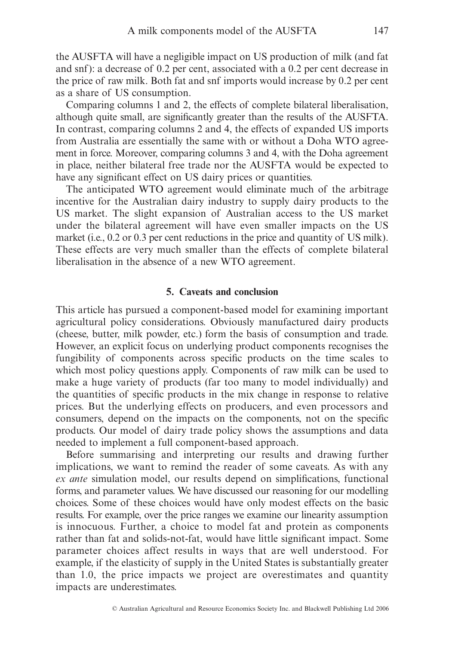the AUSFTA will have a negligible impact on US production of milk (and fat and snf): a decrease of 0.2 per cent, associated with a 0.2 per cent decrease in the price of raw milk. Both fat and snf imports would increase by 0.2 per cent as a share of US consumption.

Comparing columns 1 and 2, the effects of complete bilateral liberalisation, although quite small, are significantly greater than the results of the AUSFTA. In contrast, comparing columns 2 and 4, the effects of expanded US imports from Australia are essentially the same with or without a Doha WTO agreement in force. Moreover, comparing columns 3 and 4, with the Doha agreement in place, neither bilateral free trade nor the AUSFTA would be expected to have any significant effect on US dairy prices or quantities.

The anticipated WTO agreement would eliminate much of the arbitrage incentive for the Australian dairy industry to supply dairy products to the US market. The slight expansion of Australian access to the US market under the bilateral agreement will have even smaller impacts on the US market (i.e., 0.2 or 0.3 per cent reductions in the price and quantity of US milk). These effects are very much smaller than the effects of complete bilateral liberalisation in the absence of a new WTO agreement.

### **5. Caveats and conclusion**

This article has pursued a component-based model for examining important agricultural policy considerations. Obviously manufactured dairy products (cheese, butter, milk powder, etc.) form the basis of consumption and trade. However, an explicit focus on underlying product components recognises the fungibility of components across specific products on the time scales to which most policy questions apply. Components of raw milk can be used to make a huge variety of products (far too many to model individually) and the quantities of specific products in the mix change in response to relative prices. But the underlying effects on producers, and even processors and consumers, depend on the impacts on the components, not on the specific products. Our model of dairy trade policy shows the assumptions and data needed to implement a full component-based approach.

Before summarising and interpreting our results and drawing further implications, we want to remind the reader of some caveats. As with any *ex ante* simulation model, our results depend on simplifications, functional forms, and parameter values. We have discussed our reasoning for our modelling choices. Some of these choices would have only modest effects on the basic results. For example, over the price ranges we examine our linearity assumption is innocuous. Further, a choice to model fat and protein as components rather than fat and solids-not-fat, would have little significant impact. Some parameter choices affect results in ways that are well understood. For example, if the elasticity of supply in the United States is substantially greater than 1.0, the price impacts we project are overestimates and quantity impacts are underestimates.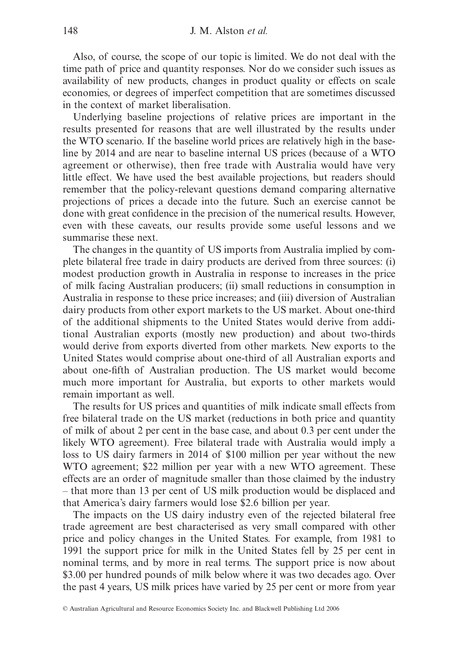Also, of course, the scope of our topic is limited. We do not deal with the time path of price and quantity responses. Nor do we consider such issues as availability of new products, changes in product quality or effects on scale economies, or degrees of imperfect competition that are sometimes discussed in the context of market liberalisation.

Underlying baseline projections of relative prices are important in the results presented for reasons that are well illustrated by the results under the WTO scenario. If the baseline world prices are relatively high in the baseline by 2014 and are near to baseline internal US prices (because of a WTO agreement or otherwise), then free trade with Australia would have very little effect. We have used the best available projections, but readers should remember that the policy-relevant questions demand comparing alternative projections of prices a decade into the future. Such an exercise cannot be done with great confidence in the precision of the numerical results. However, even with these caveats, our results provide some useful lessons and we summarise these next.

The changes in the quantity of US imports from Australia implied by complete bilateral free trade in dairy products are derived from three sources: (i) modest production growth in Australia in response to increases in the price of milk facing Australian producers; (ii) small reductions in consumption in Australia in response to these price increases; and (iii) diversion of Australian dairy products from other export markets to the US market. About one-third of the additional shipments to the United States would derive from additional Australian exports (mostly new production) and about two-thirds would derive from exports diverted from other markets. New exports to the United States would comprise about one-third of all Australian exports and about one-fifth of Australian production. The US market would become much more important for Australia, but exports to other markets would remain important as well.

The results for US prices and quantities of milk indicate small effects from free bilateral trade on the US market (reductions in both price and quantity of milk of about 2 per cent in the base case, and about 0.3 per cent under the likely WTO agreement). Free bilateral trade with Australia would imply a loss to US dairy farmers in 2014 of \$100 million per year without the new WTO agreement; \$22 million per year with a new WTO agreement. These effects are an order of magnitude smaller than those claimed by the industry – that more than 13 per cent of US milk production would be displaced and that America's dairy farmers would lose #2.6 billion per year.

The impacts on the US dairy industry even of the rejected bilateral free trade agreement are best characterised as very small compared with other price and policy changes in the United States. For example, from 1981 to 1991 the support price for milk in the United States fell by 25 per cent in nominal terms, and by more in real terms. The support price is now about \$3.00 per hundred pounds of milk below where it was two decades ago. Over the past 4 years, US milk prices have varied by 25 per cent or more from year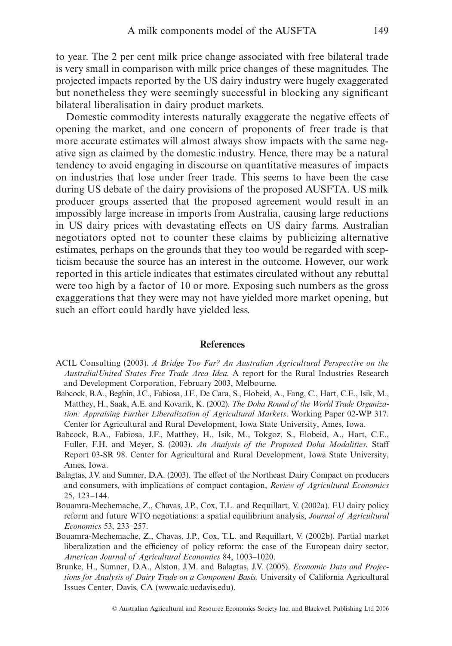to year. The 2 per cent milk price change associated with free bilateral trade is very small in comparison with milk price changes of these magnitudes. The projected impacts reported by the US dairy industry were hugely exaggerated but nonetheless they were seemingly successful in blocking any significant bilateral liberalisation in dairy product markets.

Domestic commodity interests naturally exaggerate the negative effects of opening the market, and one concern of proponents of freer trade is that more accurate estimates will almost always show impacts with the same negative sign as claimed by the domestic industry. Hence, there may be a natural tendency to avoid engaging in discourse on quantitative measures of impacts on industries that lose under freer trade. This seems to have been the case during US debate of the dairy provisions of the proposed AUSFTA. US milk producer groups asserted that the proposed agreement would result in an impossibly large increase in imports from Australia, causing large reductions in US dairy prices with devastating effects on US dairy farms. Australian negotiators opted not to counter these claims by publicizing alternative estimates, perhaps on the grounds that they too would be regarded with scepticism because the source has an interest in the outcome. However, our work reported in this article indicates that estimates circulated without any rebuttal were too high by a factor of 10 or more. Exposing such numbers as the gross exaggerations that they were may not have yielded more market opening, but such an effort could hardly have yielded less.

#### **References**

- ACIL Consulting (2003). *A Bridge Too Far? An Australian Agricultural Perspective on the Australia/United States Free Trade Area Idea.* A report for the Rural Industries Research and Development Corporation, February 2003, Melbourne.
- Babcock, B.A., Beghin, J.C., Fabiosa, J.F., De Cara, S., Elobeid, A., Fang, C., Hart, C.E., Isik, M., Matthey, H., Saak, A.E. and Kovarik, K. (2002). *The Doha Round of the World Trade Organization: Appraising Further Liberalization of Agricultural Markets*. Working Paper 02-WP 317. Center for Agricultural and Rural Development, Iowa State University, Ames, Iowa.
- Babcock, B.A., Fabiosa, J.F., Matthey, H., Isik, M., Tokgoz, S., Elobeid, A., Hart, C.E., Fuller, F.H. and Meyer, S. (2003). *An Analysis of the Proposed Doha Modalities.* Staff Report 03-SR 98. Center for Agricultural and Rural Development, Iowa State University, Ames, Iowa.
- Balagtas, J.V. and Sumner, D.A. (2003). The effect of the Northeast Dairy Compact on producers and consumers, with implications of compact contagion, *Review of Agricultural Economics* 25, 123–144.
- Bouamra-Mechemache, Z., Chavas, J.P., Cox, T.L. and Requillart, V. (2002a). EU dairy policy reform and future WTO negotiations: a spatial equilibrium analysis, *Journal of Agricultural Economics* 53, 233–257.
- Bouamra-Mechemache, Z., Chavas, J.P., Cox, T.L. and Requillart, V. (2002b). Partial market liberalization and the efficiency of policy reform: the case of the European dairy sector, *American Journal of Agricultural Economics* 84, 1003–1020.
- Brunke, H., Sumner, D.A., Alston, J.M. and Balagtas, J.V. (2005). *Economic Data and Projections for Analysis of Dairy Trade on a Component Basis.* University of California Agricultural Issues Center, Davis, CA (www.aic.ucdavis.edu).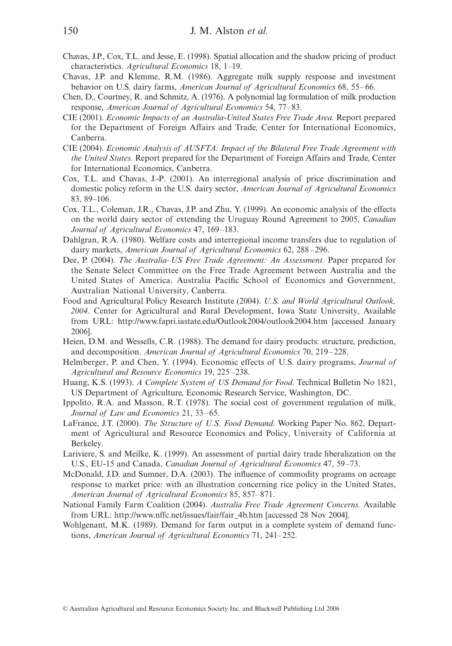- Chavas, J.P., Cox, T.L. and Jesse, E. (1998). Spatial allocation and the shadow pricing of product characteristics. *Agricultural Economics* 18, 1–19.
- Chavas, J.P. and Klemme, R.M. (1986). Aggregate milk supply response and investment behavior on U.S. dairy farms, *American Journal of Agricultural Economics* 68, 55–66.
- Chen, D., Courtney, R. and Schmitz, A. (1976). A polynomial lag formulation of milk production response, *American Journal of Agricultural Economics* 54, 77–83.
- CIE (2001). *Economic Impacts of an Australia-United States Free Trade Area.* Report prepared for the Department of Foreign Affairs and Trade, Center for International Economics, Canberra.
- CIE (2004). *Economic Analysis of AUSFTA: Impact of the Bilateral Free Trade Agreement with the United States.* Report prepared for the Department of Foreign Affairs and Trade, Center for International Economics, Canberra.
- Cox, T.L. and Chavas, J.-P. (2001). An interregional analysis of price discrimination and domestic policy reform in the U.S. dairy sector, *American Journal of Agricultural Economics* 83, 89–106.
- Cox, T.L., Coleman, J.R., Chavas, J.P. and Zhu, Y. (1999). An economic analysis of the effects on the world dairy sector of extending the Uruguay Round Agreement to 2005, *Canadian Journal of Agricultural Economics* 47, 169–183.
- Dahlgran, R.A. (1980). Welfare costs and interregional income transfers due to regulation of dairy markets, *American Journal of Agricultural Economics* 62, 288–296.
- Dee, P. (2004). *The Australia–US Free Trade Agreement: An Assessment.* Paper prepared for the Senate Select Committee on the Free Trade Agreement between Australia and the United States of America. Australia Pacific School of Economics and Government, Australian National University, Canberra.
- Food and Agricultural Policy Research Institute (2004). *U.S. and World Agricultural Outlook, 2004*. Center for Agricultural and Rural Development, Iowa State University, Available from URL: <http://www.fapri.iastate.edu/Outlook2004/outlook2004.htm>[accessed January 2006].
- Heien, D.M. and Wessells, C.R. (1988). The demand for dairy products: structure, prediction, and decomposition. *American Journal of Agricultural Economics* 70, 219–228.
- Helmberger, P. and Chen, Y. (1994). Economic effects of U.S. dairy programs, *Journal of Agricultural and Resource Economics* 19, 225–238.
- Huang, K.S. (1993). *A Complete System of US Demand for Food*. Technical Bulletin No 1821, US Department of Agriculture, Economic Research Service, Washington, DC.
- Ippolito, R.A. and Masson, R.T. (1978). The social cost of government regulation of milk, *Journal of Law and Economics* 21, 33–65.
- LaFrance, J.T. (2000). *The Structure of U.S. Food Demand.* Working Paper No. 862, Department of Agricultural and Resource Economics and Policy, University of California at Berkeley.
- Lariviere, S. and Meilke, K. (1999). An assessment of partial dairy trade liberalization on the U.S., EU-15 and Canada, *Canadian Journal of Agricultural Economics* 47, 59–73.
- McDonald, J.D. and Sumner, D.A. (2003). The influence of commodity programs on acreage response to market price: with an illustration concerning rice policy in the United States, *American Journal of Agricultural Economics* 85, 857–871.
- National Family Farm Coalition (2004). *Australia Free Trade Agreement Concerns.* Available from URL: [http://www.nffc.net/issues/fair/fair\\_4b.htm](http://www.nffc.net/issues/fair/fair_4b.htm) [accessed 28 Nov 2004].
- Wohlgenant, M.K. (1989). Demand for farm output in a complete system of demand functions, *American Journal of Agricultural Economics* 71, 241–252.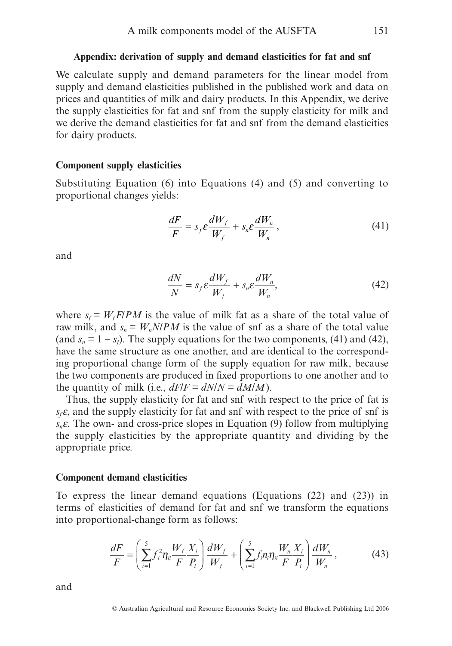#### **Appendix: derivation of supply and demand elasticities for fat and snf**

We calculate supply and demand parameters for the linear model from supply and demand elasticities published in the published work and data on prices and quantities of milk and dairy products. In this Appendix, we derive the supply elasticities for fat and snf from the supply elasticity for milk and we derive the demand elasticities for fat and snf from the demand elasticities for dairy products.

#### **Component supply elasticities**

Substituting Equation (6) into Equations (4) and (5) and converting to proportional changes yields:

$$
\frac{dF}{F} = s_f \varepsilon \frac{dW_f}{W_f} + s_n \varepsilon \frac{dW_n}{W_n},\tag{41}
$$

and

$$
\frac{dN}{N} = s_f \varepsilon \frac{dW_f}{W_f} + s_n \varepsilon \frac{dW_n}{W_n},\tag{42}
$$

where  $s_f = W_f F / PM$  is the value of milk fat as a share of the total value of raw milk, and  $s_n = W_n N / PM$  is the value of snf as a share of the total value (and  $s_n = 1 - s_f$ ). The supply equations for the two components, (41) and (42), have the same structure as one another, and are identical to the corresponding proportional change form of the supply equation for raw milk, because the two components are produced in fixed proportions to one another and to the quantity of milk (i.e.,  $dF/F = dN/N = dM/M$ ).

Thus, the supply elasticity for fat and snf with respect to the price of fat is  $s_f \varepsilon$ , and the supply elasticity for fat and snf with respect to the price of snf is *sn*ε. The own- and cross-price slopes in Equation (9) follow from multiplying the supply elasticities by the appropriate quantity and dividing by the appropriate price.

#### **Component demand elasticities**

To express the linear demand equations (Equations (22) and (23)) in terms of elasticities of demand for fat and snf we transform the equations into proportional-change form as follows:

$$
\frac{dF}{F} = \left(\sum_{i=1}^{5} f_i^2 \eta_{ii} \frac{W_f X_i}{F P_i}\right) \frac{dW_f}{W_f} + \left(\sum_{i=1}^{5} f_i n_i \eta_{ii} \frac{W_n X_i}{F P_i}\right) \frac{dW_n}{W_n},
$$
(43)

and